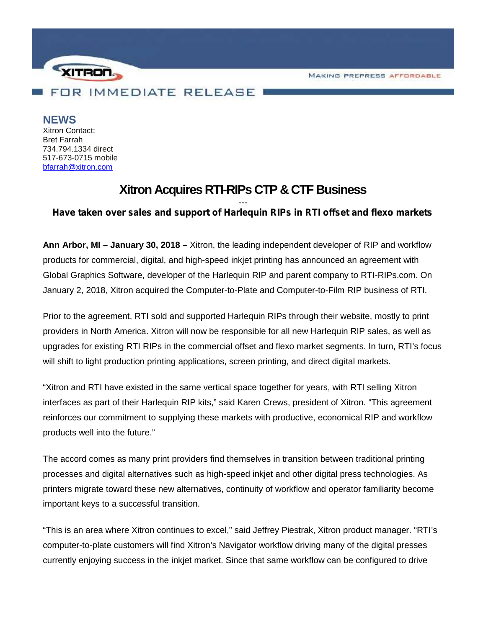MAKING PREPRESS AFFORDABLE



**NEWS**

Xitron Contact: Bret Farrah 734.794.1334 direct 517-673-0715 mobile bfarrah@xitron.com

## **Xitron Acquires RTI-RIPs CTP & CTF Business**

## *--- Have taken over sales and support of Harlequin RIPs in RTI offset and flexo markets*

**Ann Arbor, MI – January 30, 2018 –** Xitron, the leading independent developer of RIP and workflow products for commercial, digital, and high-speed inkjet printing has announced an agreement with Global Graphics Software, developer of the Harlequin RIP and parent company to RTI-RIPs.com. On January 2, 2018, Xitron acquired the Computer-to-Plate and Computer-to-Film RIP business of RTI.

Prior to the agreement, RTI sold and supported Harlequin RIPs through their website, mostly to print providers in North America. Xitron will now be responsible for all new Harlequin RIP sales, as well as upgrades for existing RTI RIPs in the commercial offset and flexo market segments. In turn, RTI's focus will shift to light production printing applications, screen printing, and direct digital markets.

"Xitron and RTI have existed in the same vertical space together for years, with RTI selling Xitron interfaces as part of their Harlequin RIP kits," said Karen Crews, president of Xitron. "This agreement reinforces our commitment to supplying these markets with productive, economical RIP and workflow products well into the future."

The accord comes as many print providers find themselves in transition between traditional printing processes and digital alternatives such as high-speed inkjet and other digital press technologies. As printers migrate toward these new alternatives, continuity of workflow and operator familiarity become important keys to a successful transition.

"This is an area where Xitron continues to excel," said Jeffrey Piestrak, Xitron product manager. "RTI's computer-to-plate customers will find Xitron's Navigator workflow driving many of the digital presses currently enjoying success in the inkjet market. Since that same workflow can be configured to drive